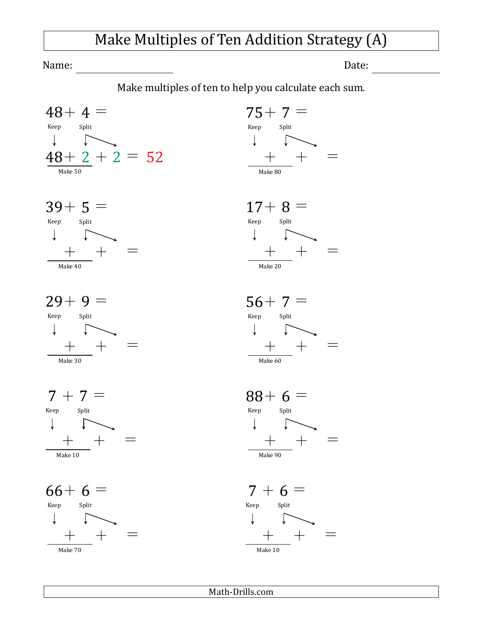## Make Multiples of Ten Addition Strategy (A)

Name: Date:

Make multiples of ten to help you calculate each sum.







 $7 + 7 =$ Keep Split  $\downarrow$   $\qquad$   $\uparrow$  $+$   $+$   $=$ Make 10

 $66+ 6 =$ Keep Split  $\downarrow$   $\qquad \qquad$  $+ + =$ Make 70











Math-Drills.com